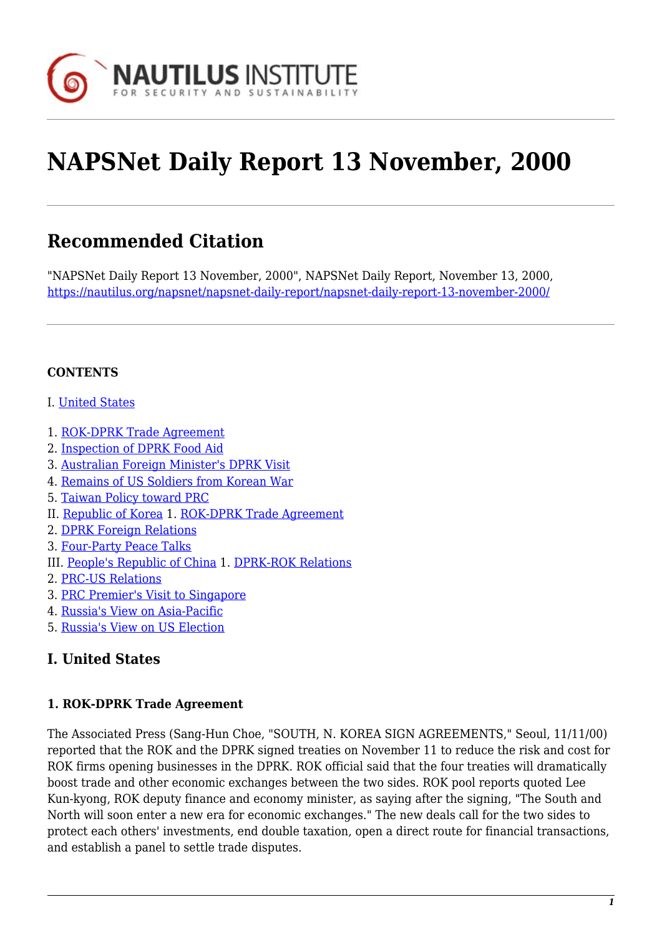

# **NAPSNet Daily Report 13 November, 2000**

# **Recommended Citation**

"NAPSNet Daily Report 13 November, 2000", NAPSNet Daily Report, November 13, 2000, <https://nautilus.org/napsnet/napsnet-daily-report/napsnet-daily-report-13-november-2000/>

#### **CONTENTS**

- I. [United States](#page-0-0)
- 1. [ROK-DPRK Trade Agreement](#page-0-1)
- 2. [Inspection of DPRK Food Aid](#page-0-2)
- 3. [Australian Foreign Minister's DPRK Visit](#page-1-0)
- 4. [Remains of US Soldiers from Korean War](#page-1-1)
- 5. [Taiwan Policy toward PRC](#page-1-2)
- II. [Republic of Korea](#page-2-0) 1. [ROK-DPRK Trade Agreement](#page-2-1)
- 2. [DPRK Foreign Relations](#page-2-2)
- 3. [Four-Party Peace Talks](#page-2-3)
- III. [People's Republic of China](#page-3-0) 1. [DPRK-ROK Relations](#page-3-1)
- 2. [PRC-US Relations](#page-3-2)
- 3. [PRC Premier's Visit to Singapore](#page-4-0)
- 4. [Russia's View on Asia-Pacific](#page-4-1)
- 5. [Russia's View on US Election](#page-4-2)

#### <span id="page-0-0"></span>**I. United States**

#### <span id="page-0-1"></span>**1. ROK-DPRK Trade Agreement**

<span id="page-0-2"></span>The Associated Press (Sang-Hun Choe, "SOUTH, N. KOREA SIGN AGREEMENTS," Seoul, 11/11/00) reported that the ROK and the DPRK signed treaties on November 11 to reduce the risk and cost for ROK firms opening businesses in the DPRK. ROK official said that the four treaties will dramatically boost trade and other economic exchanges between the two sides. ROK pool reports quoted Lee Kun-kyong, ROK deputy finance and economy minister, as saying after the signing, "The South and North will soon enter a new era for economic exchanges." The new deals call for the two sides to protect each others' investments, end double taxation, open a direct route for financial transactions, and establish a panel to settle trade disputes.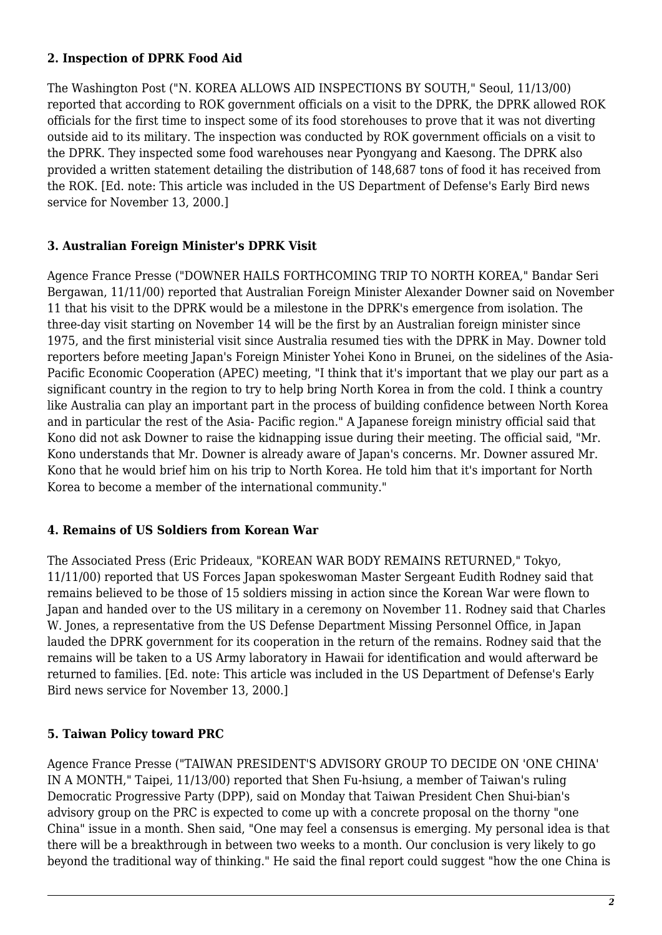#### **2. Inspection of DPRK Food Aid**

The Washington Post ("N. KOREA ALLOWS AID INSPECTIONS BY SOUTH," Seoul, 11/13/00) reported that according to ROK government officials on a visit to the DPRK, the DPRK allowed ROK officials for the first time to inspect some of its food storehouses to prove that it was not diverting outside aid to its military. The inspection was conducted by ROK government officials on a visit to the DPRK. They inspected some food warehouses near Pyongyang and Kaesong. The DPRK also provided a written statement detailing the distribution of 148,687 tons of food it has received from the ROK. [Ed. note: This article was included in the US Department of Defense's Early Bird news service for November 13, 2000.]

#### <span id="page-1-0"></span>**3. Australian Foreign Minister's DPRK Visit**

Agence France Presse ("DOWNER HAILS FORTHCOMING TRIP TO NORTH KOREA," Bandar Seri Bergawan, 11/11/00) reported that Australian Foreign Minister Alexander Downer said on November 11 that his visit to the DPRK would be a milestone in the DPRK's emergence from isolation. The three-day visit starting on November 14 will be the first by an Australian foreign minister since 1975, and the first ministerial visit since Australia resumed ties with the DPRK in May. Downer told reporters before meeting Japan's Foreign Minister Yohei Kono in Brunei, on the sidelines of the Asia-Pacific Economic Cooperation (APEC) meeting, "I think that it's important that we play our part as a significant country in the region to try to help bring North Korea in from the cold. I think a country like Australia can play an important part in the process of building confidence between North Korea and in particular the rest of the Asia- Pacific region." A Japanese foreign ministry official said that Kono did not ask Downer to raise the kidnapping issue during their meeting. The official said, "Mr. Kono understands that Mr. Downer is already aware of Japan's concerns. Mr. Downer assured Mr. Kono that he would brief him on his trip to North Korea. He told him that it's important for North Korea to become a member of the international community."

#### <span id="page-1-1"></span>**4. Remains of US Soldiers from Korean War**

The Associated Press (Eric Prideaux, "KOREAN WAR BODY REMAINS RETURNED," Tokyo, 11/11/00) reported that US Forces Japan spokeswoman Master Sergeant Eudith Rodney said that remains believed to be those of 15 soldiers missing in action since the Korean War were flown to Japan and handed over to the US military in a ceremony on November 11. Rodney said that Charles W. Jones, a representative from the US Defense Department Missing Personnel Office, in Japan lauded the DPRK government for its cooperation in the return of the remains. Rodney said that the remains will be taken to a US Army laboratory in Hawaii for identification and would afterward be returned to families. [Ed. note: This article was included in the US Department of Defense's Early Bird news service for November 13, 2000.]

#### <span id="page-1-2"></span>**5. Taiwan Policy toward PRC**

Agence France Presse ("TAIWAN PRESIDENT'S ADVISORY GROUP TO DECIDE ON 'ONE CHINA' IN A MONTH," Taipei, 11/13/00) reported that Shen Fu-hsiung, a member of Taiwan's ruling Democratic Progressive Party (DPP), said on Monday that Taiwan President Chen Shui-bian's advisory group on the PRC is expected to come up with a concrete proposal on the thorny "one China" issue in a month. Shen said, "One may feel a consensus is emerging. My personal idea is that there will be a breakthrough in between two weeks to a month. Our conclusion is very likely to go beyond the traditional way of thinking." He said the final report could suggest "how the one China is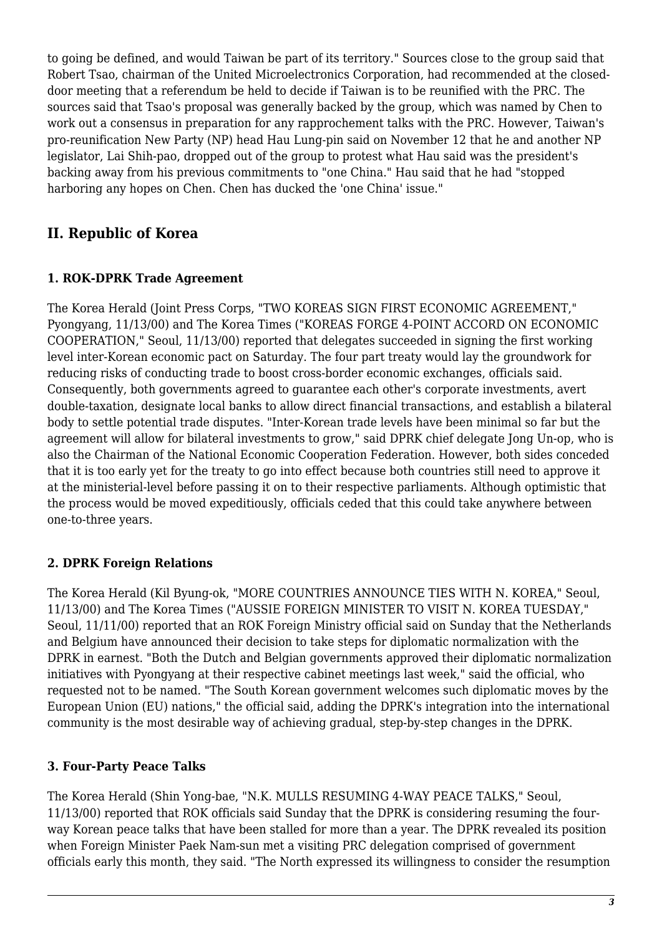to going be defined, and would Taiwan be part of its territory." Sources close to the group said that Robert Tsao, chairman of the United Microelectronics Corporation, had recommended at the closeddoor meeting that a referendum be held to decide if Taiwan is to be reunified with the PRC. The sources said that Tsao's proposal was generally backed by the group, which was named by Chen to work out a consensus in preparation for any rapprochement talks with the PRC. However, Taiwan's pro-reunification New Party (NP) head Hau Lung-pin said on November 12 that he and another NP legislator, Lai Shih-pao, dropped out of the group to protest what Hau said was the president's backing away from his previous commitments to "one China." Hau said that he had "stopped harboring any hopes on Chen. Chen has ducked the 'one China' issue."

### <span id="page-2-0"></span>**II. Republic of Korea**

#### <span id="page-2-1"></span>**1. ROK-DPRK Trade Agreement**

The Korea Herald (Joint Press Corps, "TWO KOREAS SIGN FIRST ECONOMIC AGREEMENT," Pyongyang, 11/13/00) and The Korea Times ("KOREAS FORGE 4-POINT ACCORD ON ECONOMIC COOPERATION," Seoul, 11/13/00) reported that delegates succeeded in signing the first working level inter-Korean economic pact on Saturday. The four part treaty would lay the groundwork for reducing risks of conducting trade to boost cross-border economic exchanges, officials said. Consequently, both governments agreed to guarantee each other's corporate investments, avert double-taxation, designate local banks to allow direct financial transactions, and establish a bilateral body to settle potential trade disputes. "Inter-Korean trade levels have been minimal so far but the agreement will allow for bilateral investments to grow," said DPRK chief delegate Jong Un-op, who is also the Chairman of the National Economic Cooperation Federation. However, both sides conceded that it is too early yet for the treaty to go into effect because both countries still need to approve it at the ministerial-level before passing it on to their respective parliaments. Although optimistic that the process would be moved expeditiously, officials ceded that this could take anywhere between one-to-three years.

#### <span id="page-2-2"></span>**2. DPRK Foreign Relations**

The Korea Herald (Kil Byung-ok, "MORE COUNTRIES ANNOUNCE TIES WITH N. KOREA," Seoul, 11/13/00) and The Korea Times ("AUSSIE FOREIGN MINISTER TO VISIT N. KOREA TUESDAY," Seoul, 11/11/00) reported that an ROK Foreign Ministry official said on Sunday that the Netherlands and Belgium have announced their decision to take steps for diplomatic normalization with the DPRK in earnest. "Both the Dutch and Belgian governments approved their diplomatic normalization initiatives with Pyongyang at their respective cabinet meetings last week," said the official, who requested not to be named. "The South Korean government welcomes such diplomatic moves by the European Union (EU) nations," the official said, adding the DPRK's integration into the international community is the most desirable way of achieving gradual, step-by-step changes in the DPRK.

#### <span id="page-2-3"></span>**3. Four-Party Peace Talks**

The Korea Herald (Shin Yong-bae, "N.K. MULLS RESUMING 4-WAY PEACE TALKS," Seoul, 11/13/00) reported that ROK officials said Sunday that the DPRK is considering resuming the fourway Korean peace talks that have been stalled for more than a year. The DPRK revealed its position when Foreign Minister Paek Nam-sun met a visiting PRC delegation comprised of government officials early this month, they said. "The North expressed its willingness to consider the resumption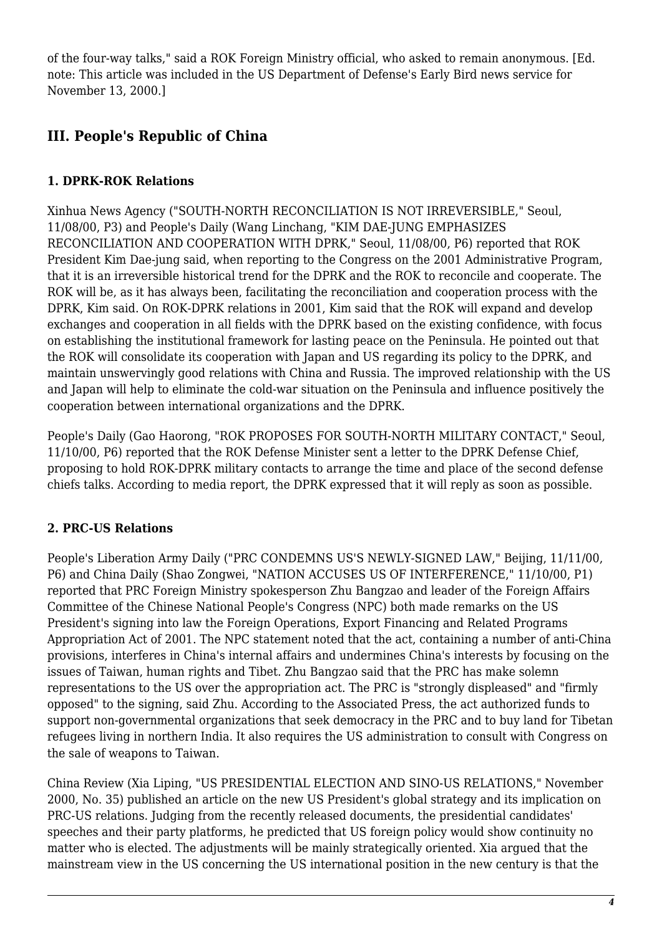of the four-way talks," said a ROK Foreign Ministry official, who asked to remain anonymous. [Ed. note: This article was included in the US Department of Defense's Early Bird news service for November 13, 2000.]

## <span id="page-3-0"></span>**III. People's Republic of China**

#### <span id="page-3-1"></span>**1. DPRK-ROK Relations**

Xinhua News Agency ("SOUTH-NORTH RECONCILIATION IS NOT IRREVERSIBLE," Seoul, 11/08/00, P3) and People's Daily (Wang Linchang, "KIM DAE-JUNG EMPHASIZES RECONCILIATION AND COOPERATION WITH DPRK," Seoul, 11/08/00, P6) reported that ROK President Kim Dae-jung said, when reporting to the Congress on the 2001 Administrative Program, that it is an irreversible historical trend for the DPRK and the ROK to reconcile and cooperate. The ROK will be, as it has always been, facilitating the reconciliation and cooperation process with the DPRK, Kim said. On ROK-DPRK relations in 2001, Kim said that the ROK will expand and develop exchanges and cooperation in all fields with the DPRK based on the existing confidence, with focus on establishing the institutional framework for lasting peace on the Peninsula. He pointed out that the ROK will consolidate its cooperation with Japan and US regarding its policy to the DPRK, and maintain unswervingly good relations with China and Russia. The improved relationship with the US and Japan will help to eliminate the cold-war situation on the Peninsula and influence positively the cooperation between international organizations and the DPRK.

People's Daily (Gao Haorong, "ROK PROPOSES FOR SOUTH-NORTH MILITARY CONTACT," Seoul, 11/10/00, P6) reported that the ROK Defense Minister sent a letter to the DPRK Defense Chief, proposing to hold ROK-DPRK military contacts to arrange the time and place of the second defense chiefs talks. According to media report, the DPRK expressed that it will reply as soon as possible.

#### <span id="page-3-2"></span>**2. PRC-US Relations**

People's Liberation Army Daily ("PRC CONDEMNS US'S NEWLY-SIGNED LAW," Beijing, 11/11/00, P6) and China Daily (Shao Zongwei, "NATION ACCUSES US OF INTERFERENCE," 11/10/00, P1) reported that PRC Foreign Ministry spokesperson Zhu Bangzao and leader of the Foreign Affairs Committee of the Chinese National People's Congress (NPC) both made remarks on the US President's signing into law the Foreign Operations, Export Financing and Related Programs Appropriation Act of 2001. The NPC statement noted that the act, containing a number of anti-China provisions, interferes in China's internal affairs and undermines China's interests by focusing on the issues of Taiwan, human rights and Tibet. Zhu Bangzao said that the PRC has make solemn representations to the US over the appropriation act. The PRC is "strongly displeased" and "firmly opposed" to the signing, said Zhu. According to the Associated Press, the act authorized funds to support non-governmental organizations that seek democracy in the PRC and to buy land for Tibetan refugees living in northern India. It also requires the US administration to consult with Congress on the sale of weapons to Taiwan.

China Review (Xia Liping, "US PRESIDENTIAL ELECTION AND SINO-US RELATIONS," November 2000, No. 35) published an article on the new US President's global strategy and its implication on PRC-US relations. Judging from the recently released documents, the presidential candidates' speeches and their party platforms, he predicted that US foreign policy would show continuity no matter who is elected. The adjustments will be mainly strategically oriented. Xia argued that the mainstream view in the US concerning the US international position in the new century is that the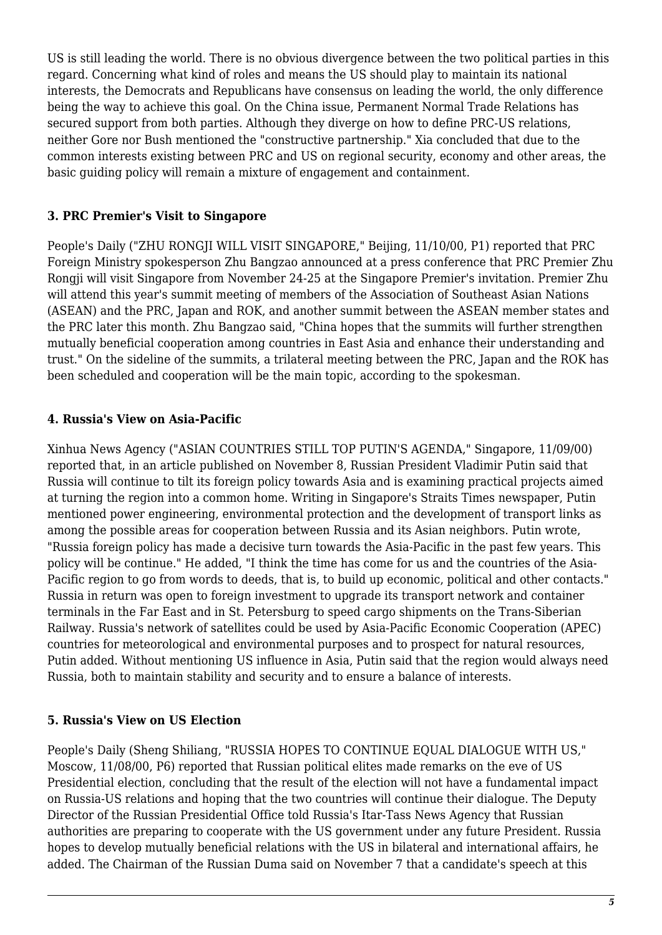US is still leading the world. There is no obvious divergence between the two political parties in this regard. Concerning what kind of roles and means the US should play to maintain its national interests, the Democrats and Republicans have consensus on leading the world, the only difference being the way to achieve this goal. On the China issue, Permanent Normal Trade Relations has secured support from both parties. Although they diverge on how to define PRC-US relations, neither Gore nor Bush mentioned the "constructive partnership." Xia concluded that due to the common interests existing between PRC and US on regional security, economy and other areas, the basic guiding policy will remain a mixture of engagement and containment.

#### <span id="page-4-0"></span>**3. PRC Premier's Visit to Singapore**

People's Daily ("ZHU RONGJI WILL VISIT SINGAPORE," Beijing, 11/10/00, P1) reported that PRC Foreign Ministry spokesperson Zhu Bangzao announced at a press conference that PRC Premier Zhu Rongji will visit Singapore from November 24-25 at the Singapore Premier's invitation. Premier Zhu will attend this year's summit meeting of members of the Association of Southeast Asian Nations (ASEAN) and the PRC, Japan and ROK, and another summit between the ASEAN member states and the PRC later this month. Zhu Bangzao said, "China hopes that the summits will further strengthen mutually beneficial cooperation among countries in East Asia and enhance their understanding and trust." On the sideline of the summits, a trilateral meeting between the PRC, Japan and the ROK has been scheduled and cooperation will be the main topic, according to the spokesman.

#### <span id="page-4-1"></span>**4. Russia's View on Asia-Pacific**

Xinhua News Agency ("ASIAN COUNTRIES STILL TOP PUTIN'S AGENDA," Singapore, 11/09/00) reported that, in an article published on November 8, Russian President Vladimir Putin said that Russia will continue to tilt its foreign policy towards Asia and is examining practical projects aimed at turning the region into a common home. Writing in Singapore's Straits Times newspaper, Putin mentioned power engineering, environmental protection and the development of transport links as among the possible areas for cooperation between Russia and its Asian neighbors. Putin wrote, "Russia foreign policy has made a decisive turn towards the Asia-Pacific in the past few years. This policy will be continue." He added, "I think the time has come for us and the countries of the Asia-Pacific region to go from words to deeds, that is, to build up economic, political and other contacts." Russia in return was open to foreign investment to upgrade its transport network and container terminals in the Far East and in St. Petersburg to speed cargo shipments on the Trans-Siberian Railway. Russia's network of satellites could be used by Asia-Pacific Economic Cooperation (APEC) countries for meteorological and environmental purposes and to prospect for natural resources, Putin added. Without mentioning US influence in Asia, Putin said that the region would always need Russia, both to maintain stability and security and to ensure a balance of interests.

#### <span id="page-4-2"></span>**5. Russia's View on US Election**

People's Daily (Sheng Shiliang, "RUSSIA HOPES TO CONTINUE EQUAL DIALOGUE WITH US," Moscow, 11/08/00, P6) reported that Russian political elites made remarks on the eve of US Presidential election, concluding that the result of the election will not have a fundamental impact on Russia-US relations and hoping that the two countries will continue their dialogue. The Deputy Director of the Russian Presidential Office told Russia's Itar-Tass News Agency that Russian authorities are preparing to cooperate with the US government under any future President. Russia hopes to develop mutually beneficial relations with the US in bilateral and international affairs, he added. The Chairman of the Russian Duma said on November 7 that a candidate's speech at this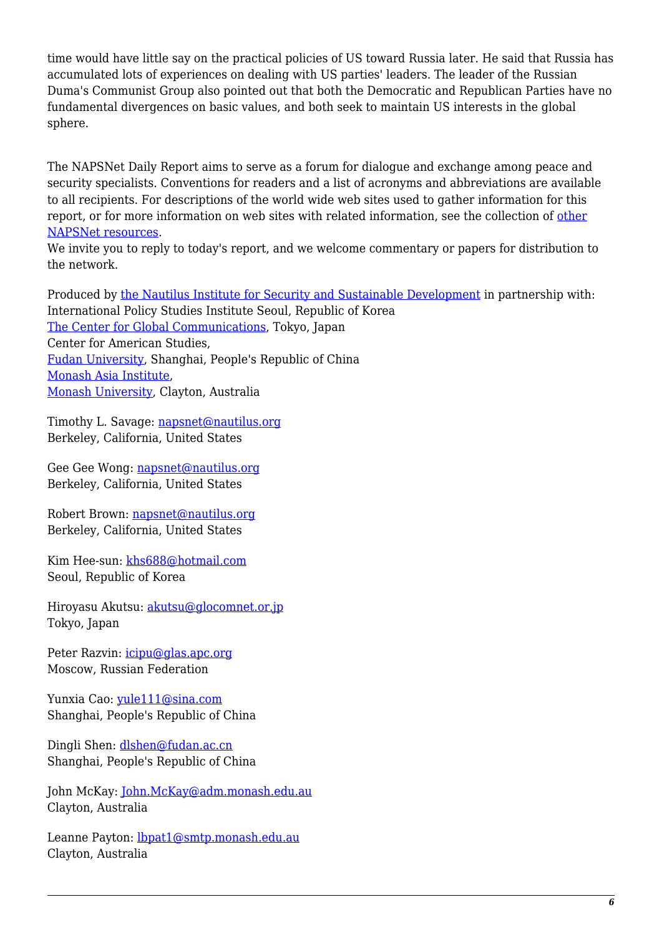time would have little say on the practical policies of US toward Russia later. He said that Russia has accumulated lots of experiences on dealing with US parties' leaders. The leader of the Russian Duma's Communist Group also pointed out that both the Democratic and Republican Parties have no fundamental divergences on basic values, and both seek to maintain US interests in the global sphere.

The NAPSNet Daily Report aims to serve as a forum for dialogue and exchange among peace and security specialists. Conventions for readers and a list of acronyms and abbreviations are available to all recipients. For descriptions of the world wide web sites used to gather information for this report, or for more information on web sites with related information, see the collection of [other](http://nautilus.org/kiosk/weblinks.html) [NAPSNet resources.](http://nautilus.org/kiosk/weblinks.html)

We invite you to reply to today's report, and we welcome commentary or papers for distribution to the network.

Produced by [the Nautilus Institute for Security and Sustainable Development](http://nautilus.org/admin/about.html) in partnership with: International Policy Studies Institute Seoul, Republic of Korea [The Center for Global Communications](http://aska.glocom.ac.jp/default.html), Tokyo, Japan Center for American Studies, [Fudan University](http://www.fudan.edu.cn/English/nsindex.html), Shanghai, People's Republic of China [Monash Asia Institute,](http://www.adm.monash.edu.au) [Monash University](http://www.monash.edu.au/), Clayton, Australia

Timothy L. Savage: [napsnet@nautilus.org](mailto:napsnet@nautilus.org) Berkeley, California, United States

Gee Gee Wong: [napsnet@nautilus.org](mailto:napsnet@nautilus.org) Berkeley, California, United States

Robert Brown: [napsnet@nautilus.org](mailto:napsnet@nautilus.org) Berkeley, California, United States

Kim Hee-sun: [khs688@hotmail.com](mailto:khs688@hotmail.com) Seoul, Republic of Korea

Hiroyasu Akutsu: [akutsu@glocomnet.or.jp](mailto:akutsu@glocomnet.or.jp) Tokyo, Japan

Peter Razvin: [icipu@glas.apc.org](mailto:icipu@glas.apc.org) Moscow, Russian Federation

Yunxia Cao: [yule111@sina.com](mailto:yule111@sina.com) Shanghai, People's Republic of China

Dingli Shen: [dlshen@fudan.ac.cn](mailto:dlshen@fudan.ac.cn) Shanghai, People's Republic of China

John McKay: [John.McKay@adm.monash.edu.au](mailto:John.McKay@adm.monash.edu.au) Clayton, Australia

Leanne Payton: **[lbpat1@smtp.monash.edu.au](mailto: lbpat1@smtp.monash.edu.au)** Clayton, Australia